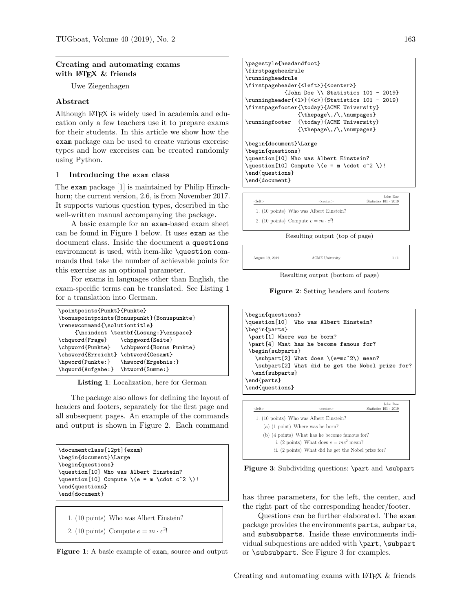## Creating and automating exams with  $EFT$  & friends

Uwe Ziegenhagen

# Abstract

Although LATEX is widely used in academia and education only a few teachers use it to prepare exams for their students. In this article we show how the exam package can be used to create various exercise types and how exercises can be created randomly using Python.

#### 1 Introducing the exam class

The exam package [\[1\]](#page-3-0) is maintained by Philip Hirschhorn; the current version, 2.6, is from November 2017. It supports various question types, described in the well-written manual accompanying the package.

A basic example for an exam-based exam sheet can be found in Figure [1](#page-0-0) below. It uses exam as the document class. Inside the document a questions environment is used, with item-like \question commands that take the number of achievable points for this exercise as an optional parameter.

For exams in languages other than English, the exam-specific terms can be translated. See Listing [1](#page-0-1) for a translation into German.

<span id="page-0-1"></span>

| \pointpoints{Punkt}{Punkte}         |                                            |
|-------------------------------------|--------------------------------------------|
|                                     | \bonuspointpoints{Bonuspunkt}{Bonuspunkte} |
| \renewcommand{\solutiontitle}       |                                            |
|                                     | {\noindent \textbf{Lösung:}\enspace}       |
| \chqword{Frage}                     | \chpgword{Seite}                           |
|                                     | \chpword{Punkte} \chbpword{Bonus Punkte}   |
| \chsword{Erreicht} \chtword{Gesamt} |                                            |
| \hpword{Punkte:}                    | \hsword{Ergebnis:}                         |
| \hqword{Aufgabe:} \htword{Summe:}   |                                            |
|                                     |                                            |

Listing 1: Localization, here for German

The package also allows for defining the layout of headers and footers, separately for the first page and all subsequent pages. An example of the commands and output is shown in Figure [2.](#page-0-2) Each command

```
\documentclass[12pt]{exam}
\begin{document}\Large
\begin{questions}
\question[10] Who was Albert Einstein?
\question[10] Compute \ (e = m \cdot c^2 \)!\end{questions}
\end{document}
```
1. (10 points) Who was Albert Einstein?

```
2. (10 points) Compute e = m \cdot c^2!
```


```
\text{pagestyle}\firstpageheadrule
\runningheadrule
\firstpageheader{<left>}{<center>}
            {John Doe \\ Statistics 101 - 2019}
\runningheader{<l>}{<c>}{Statistics 101 - 2019}
\firstpagefooter{\today}{ACME University}
               {\thepage\,/\,\numpages}
\runningfooter {\today}{ACME University}
                {\thepage\,/\,\numpages}
\begin{document}\Large
\begin{questions}
\question[10] Who was Albert Einstein?
\question[10] Compute \(e = m \cdot c^2 \)!
\end{questions}
\end{document}
```

| <left></left> | $<$ center $>$                             | John Doe<br>Statistics 101 - 2019 |
|---------------|--------------------------------------------|-----------------------------------|
|               | 1. (10 points) Who was Albert Einstein?    |                                   |
|               | 2. (10 points) Compute $e = m \cdot c^2$ ! |                                   |
|               |                                            |                                   |

Resulting output (top of page)

August 19, 2019 **ACME** University 1/1

<span id="page-0-2"></span>

Resulting output (bottom of page)

Figure 2: Setting headers and footers

```
\begin{questions}<br>\question[10] Wh
                Who was Albert Einstein?
\begin{parts}
\part[1] Where was he born?
\part[4] What has he become famous for?
\begin{subparts}
   \subpart[2] What does \(e=mc^2\) mean?
   \subpart[2] What did he get the Nobel prize for?
 \end{subparts}
\end{parts}
\end{questions}
                                              John Doe
```

| <left></left> | <center></center>                                   | Statistics 101 - 2019 |
|---------------|-----------------------------------------------------|-----------------------|
|               | 1. (10 points) Who was Albert Einstein?             |                       |
|               | $(a)$ (1 point) Where was he born?                  |                       |
|               | (b) (4 points) What has he become famous for?       |                       |
|               | i. (2 points) What does $e = mc^2$ mean?            |                       |
|               | ii. (2 points) What did he get the Nobel prize for? |                       |

<span id="page-0-3"></span>Figure 3: Subdividing questions: \part and \subpart

has three parameters, for the left, the center, and the right part of the corresponding header/footer.

Questions can be further elaborated. The exam package provides the environments parts, subparts, and subsubparts. Inside these environments individual subquestions are added with \part, \subpart or \subsubpart. See Figure [3](#page-0-3) for examples.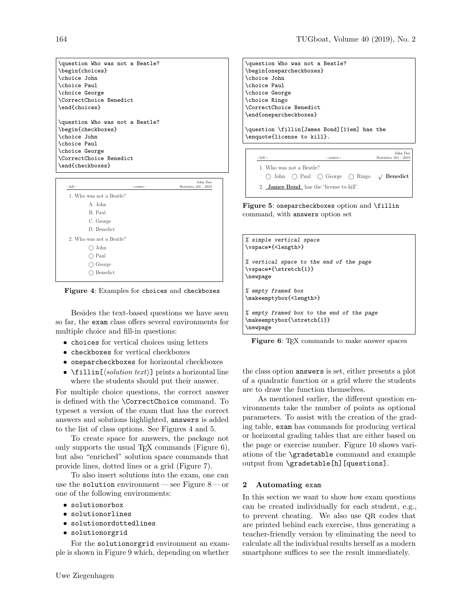\question Who was not a Beatle? \begin{choices} \choice John \choice Paul \choice George \CorrectChoice Benedict \end{choices} \question Who was not a Beatle? \begin{checkboxes} \choice John \choice Paul \choice George \CorrectChoice Benedict \end{checkboxes}

| $<$ left $>$             | $<$ center $>$ | John Doe<br>Statistics 101 - 2019 |
|--------------------------|----------------|-----------------------------------|
| 1. Who was not a Beatle? |                |                                   |
| A. John                  |                |                                   |
| B. Paul                  |                |                                   |
| C. George                |                |                                   |
| D. Benedict              |                |                                   |
| 2. Who was not a Beatle? |                |                                   |
| John                     |                |                                   |
| ) Paul                   |                |                                   |
| George                   |                |                                   |
| Benedict                 |                |                                   |
|                          |                |                                   |

<span id="page-1-0"></span>Figure 4: Examples for choices and checkboxes

Besides the text-based questions we have seen so far, the exam class offers several environments for multiple choice and fill-in questions:

- choices for vertical choices using letters
- checkboxes for vertical checkboxes
- oneparcheckboxes for horizontal checkboxes
- $\text{ifillin}(\text{solution text}) \text{ prints a horizontal line})$ where the students should put their answer.

is defined with the **\CorrectChoice** command. To For multiple choice questions, the correct answer typeset a version of the exam that has the correct answers and solutions highlighted, answers is added to the list of class options. See Figures [4](#page-1-0) and [5.](#page-1-1)

To create space for answers, the package not only supports the usual T<sub>EX</sub> commands (Figure  $6$ ), but also "enriched" solution space commands that provide lines, dotted lines or a grid (Figure [7\)](#page-2-0).

To also insert solutions into the exam, one can use the solution environment— see Figure [8](#page-2-1)— or one of the following environments:

- solutionorbox
- solutionorlines
- solutionordottedlines
- solutionorgrid

For the solutionorgrid environment an example is shown in Figure [9](#page-2-2) which, depending on whether

\question Who was not a Beatle? \begin{oneparcheckboxes} \choice John \choice Paul \choice George \choice Ringo \CorrectChoice Benedict \end{oneparcheckboxes}

\question \fillin[James Bond][11em] has the \enquote{license to kill}.

| <left></left>            | $<$ center $>$                                  | John Doe<br>Statistics 101 - 2019                                                       |
|--------------------------|-------------------------------------------------|-----------------------------------------------------------------------------------------|
| 1. Who was not a Beatle? |                                                 |                                                                                         |
|                          |                                                 | $\bigcirc$ John $\bigcirc$ Paul $\bigcirc$ George $\bigcirc$ Ringo $\sqrt{\ }$ Benedict |
|                          | 2. <b>James Bond</b> has the "license to kill". |                                                                                         |

<span id="page-1-1"></span>Figure 5: oneparcheckboxes option and \fillin command, with answers option set

| % simple vertical space<br>\vspace*{ <length>}</length>                             |
|-------------------------------------------------------------------------------------|
| % vertical space to the end of the page<br>\vspace*{\stretch{1}}<br>\newpage        |
| % empty framed box<br>\makeemptybox{ <length>}</length>                             |
| % empty framed box to the end of the page<br>\makeemptybox{\stretch{1}}<br>\newpage |

<span id="page-1-2"></span>Figure 6: T<sub>FX</sub> commands to make answer spaces

the class option answers is set, either presents a plot of a quadratic function or a grid where the students are to draw the function themselves.

As mentioned earlier, the different question environments take the number of points as optional parameters. To assist with the creation of the grading table, exam has commands for producing vertical or horizontal grading tables that are either based on the page or exercise number. Figure [10](#page-2-3) shows variations of the \gradetable command and example output from \gradetable[h][questions].

# 2 Automating exam

In this section we want to show how exam questions can be created individually for each student, e.g., to prevent cheating. We also use QR codes that are printed behind each exercise, thus generating a teacher-friendly version by eliminating the need to calculate all the individual results herself as a modern smartphone suffices to see the result immediately.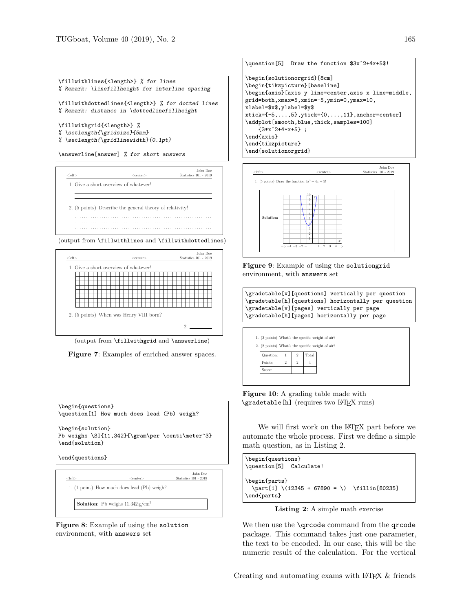

\answerline[answer] % for short answers



(output from \fillwithlines and \fillwithdottedlines)



<span id="page-2-0"></span>(output from \fillwithgrid and \answerline)

Figure 7: Examples of enriched answer spaces.



<span id="page-2-1"></span>Figure 8: Example of using the solution environment, with answers set

```
\question[5] Draw the function $3x^2+4x+5$!
\begin{solutionorgrid}[8cm]
\begin{tikzpicture}[baseline]
\begin{axis}[axis y line=center,axis x line=middle,
grid=both,xmax=5,xmin=-5,ymin=0,ymax=10,
xlabel=$x$,ylabel=$y$
xtick={-5,...,5},ytick={0,...,11},anchor=center]
\addplot[smooth,blue,thick,samples=100]
   {3*x^2+4*x+5} ;
\end{axis}
\end{tikzpicture}
\end{solutionorgrid}
```


<span id="page-2-2"></span>Figure 9: Example of using the solutiongrid environment, with answers set

\gradetable[v][questions] vertically per question \gradetable[h][questions] horizontally per question \gradetable[v][pages] vertically per page \gradetable[h][pages] horizontally per page



<span id="page-2-3"></span>Figure 10: A grading table made with \gradetable[h] (requires two L<sup>AT</sup>EX runs)

We will first work on the L<sup>AT</sup>EX part before we automate the whole process. First we define a simple math question, as in Listing [2.](#page-2-4)

```
\begin{questions}
\question[5] Calculate!
\begin{parts}
 \partial \phi[1] (12345 + 67890 = ) \tilde{80235}\end{parts}
```
Listing 2: A simple math exercise

We then use the **\qrcode** command from the qrcode package. This command takes just one parameter, the text to be encoded. In our case, this will be the numeric result of the calculation. For the vertical

Creating and automating exams with LATEX & friends